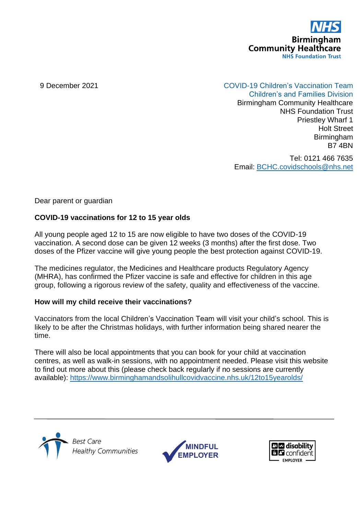

# 9 December 2021 COVID-19 Children's Vaccination Team

Children's and Families Division Birmingham Community Healthcare NHS Foundation Trust Priestley Wharf 1 Holt Street Birmingham B7 4BN

Tel: 0121 466 7635 Email: [BCHC.covidschools@nhs.net](mailto:BCHC.covidschools@nhs.net)

Dear parent or guardian

## **COVID-19 vaccinations for 12 to 15 year olds**

All young people aged 12 to 15 are now eligible to have two doses of the COVID-19 vaccination. A second dose can be given 12 weeks (3 months) after the first dose. Two doses of the Pfizer vaccine will give young people the best protection against COVID-19.

The medicines regulator, the Medicines and Healthcare products Regulatory Agency (MHRA), has confirmed the Pfizer vaccine is safe and effective for children in this age group, following a rigorous review of the safety, quality and effectiveness of the vaccine.

### **How will my child receive their vaccinations?**

Vaccinators from the local Children's Vaccination Team will visit your child's school. This is likely to be after the Christmas holidays, with further information being shared nearer the time.

There will also be local appointments that you can book for your child at vaccination centres, as well as walk-in sessions, with no appointment needed. Please visit this website to find out more about this (please check back regularly if no sessions are currently available):<https://www.birminghamandsolihullcovidvaccine.nhs.uk/12to15yearolds/>